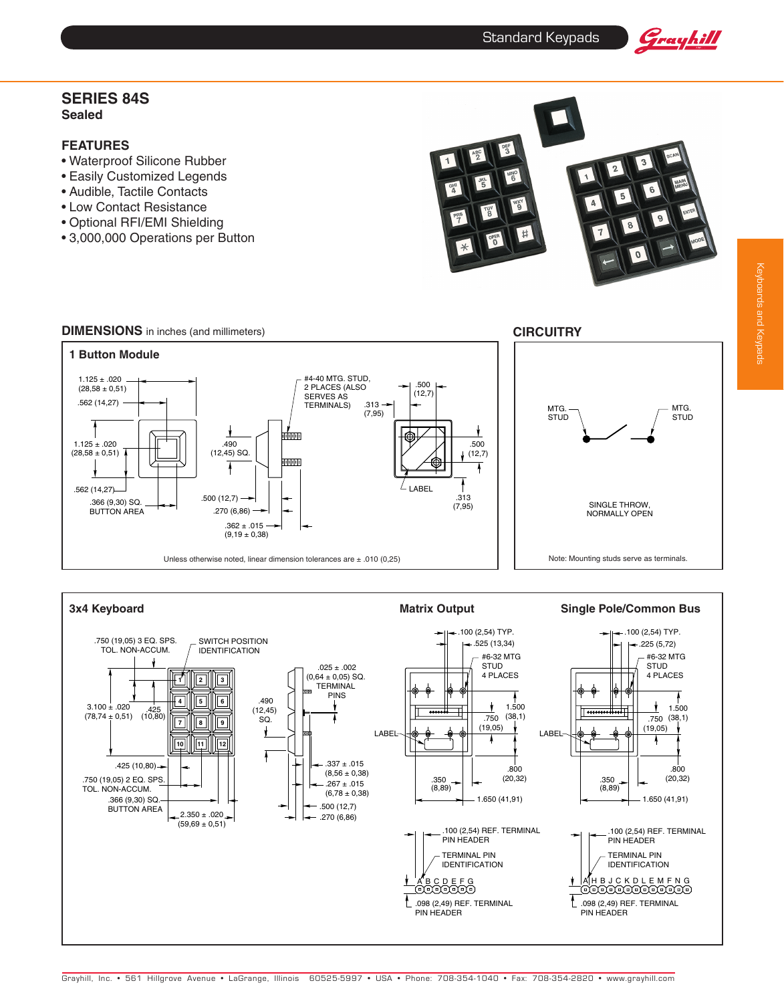



# **Series 84S Sealed**

# **Features**

- • Waterproof Silicone Rubber
- Easily Customized Legends
- • Audible, Tactile Contacts
- Low Contact Resistance
- • Optional RFI/EMI Shielding
- • 3,000,000 Operations per Button



#### **DIMENSIONS** in inches (and millimeters) **CIRCUITRY 1 Button Module** #4-40 MTG. STUD,  $1.125 \pm .020$ .500 2 PLACES (ALSO  $(28,58 \pm 0.51)$ (12,7) SERVES AS .562 (14,27) TERMINALS) .313 MTG. MTG. (7,95) STUD STUD र्कतका  $1.125\pm.020$ .490 .500  $(28,58 \pm 0,51)$  $(12, 45)$  SQ (12,7) काका ł  $\angle$  LABEL .562 (14,27) .313 .500  $(12,7)$ .366 (9,30) SQ. SINGLE THROW, (7,95) **BUTTON AREA** .270 (6,86) NORMALLY OPEN  $.362 \pm .015$  $(9,19 \pm 0,38)$ Unless otherwise noted, linear dimension tolerances are ± .010 (0,25) Note: Mounting studs serve as terminals.

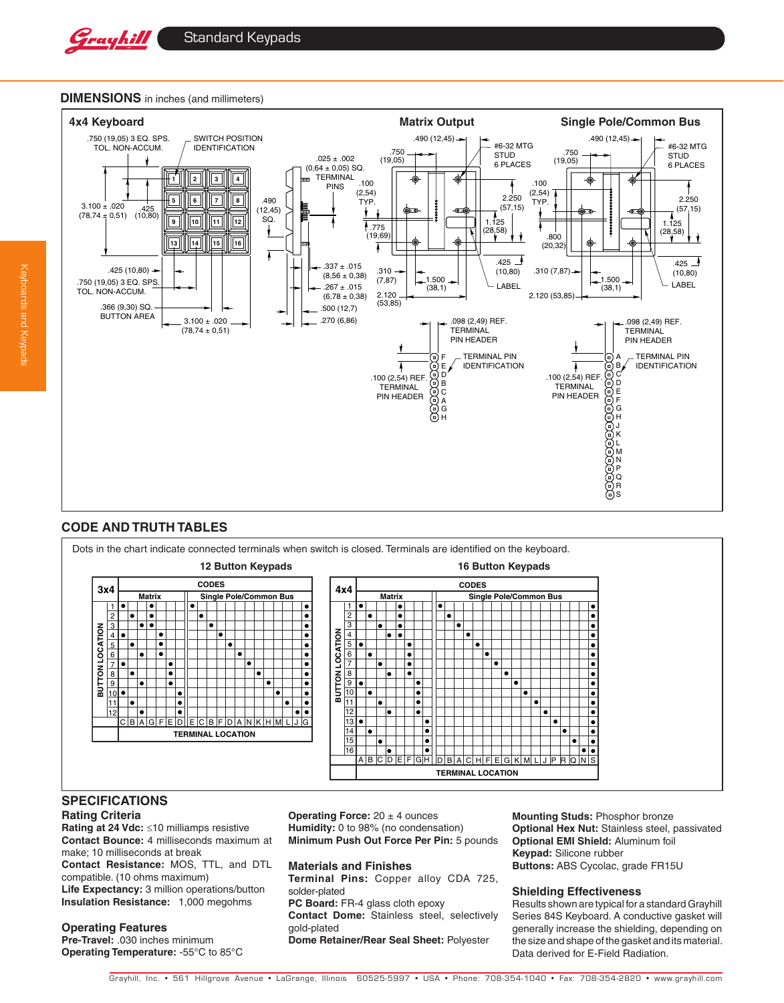



# **Code and Truth Tables**



## **Specifications**

#### **Rating Criteria**

**Rating at 24 Vdc:** ≤10 milliamps resistive **Contact Bounce:** 4 milliseconds maximum at make; 10 milliseconds at break **Contact Resistance:** MOS, TTL, and DTL compatible. (10 ohms maximum) **Life Expectancy:** 3 million operations/button **Insulation Resistance:** 1,000 megohms

#### **Operating Features**

**Pre-Travel:** .030 inches minimum **Operating Temperature:** -55°C to 85°C **Operating Force:** 20 ± 4 ounces **Humidity:** 0 to 98% (no condensation) **Minimum Push Out Force Per Pin:** 5 pounds

#### **Materials and Finishes**

**Terminal Pins:** Copper alloy CDA 725, solder-plated **PC Board:** FR-4 glass cloth epoxy **Contact Dome:** Stainless steel, selectively gold-plated

**Dome Retainer/Rear Seal Sheet:** Polyester

**Mounting Studs:** Phosphor bronze **Optional Hex Nut:** Stainless steel, passivated **Optional EMI Shield:** Aluminum foil **Keypad:** Silicone rubber **Buttons:** ABS Cycolac, grade FR15U

#### **Shielding Effectiveness**

Results shown are typical for a standard Grayhill Series 84S Keyboard. A conductive gasket will generally increase the shielding, depending on the size and shape of the gasket and its material. Data derived for E-Field Radiation.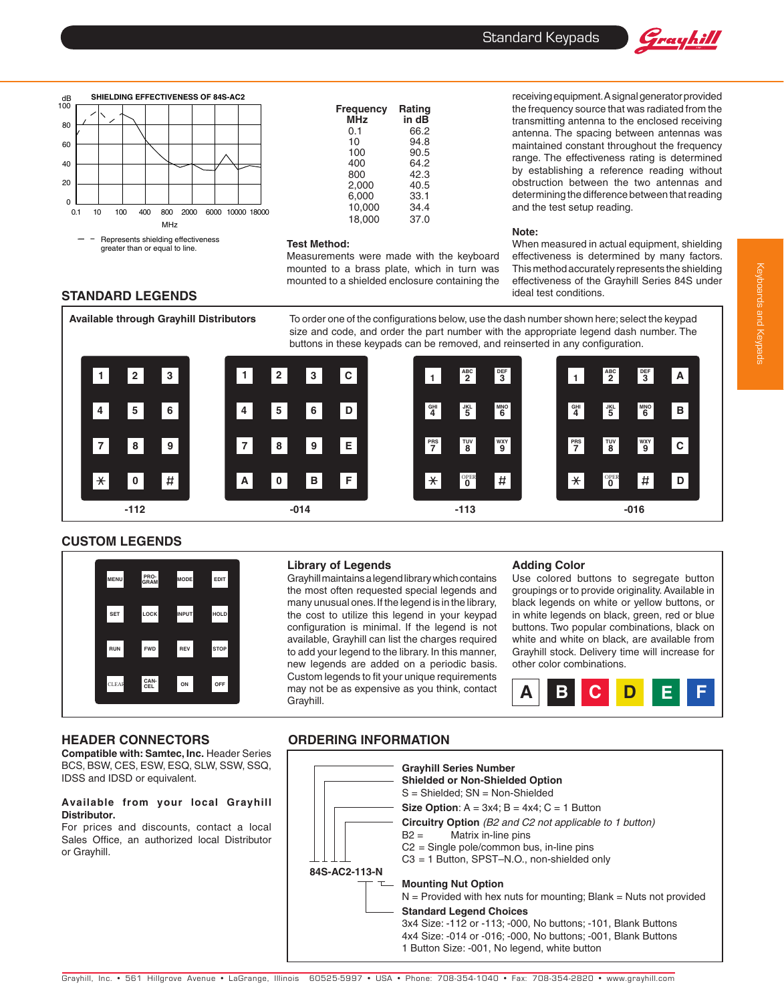

| <b>Frequency</b><br>MHz | Rating<br>in dB |
|-------------------------|-----------------|
|                         |                 |
| 0.1                     | 66.2            |
| 10                      | 94.8            |
| 100                     | 90.5            |
| 400                     | 64.2            |
| 800                     | 42.3            |
| 2,000                   | 40.5            |
| 6,000                   | 33.1            |
| 10,000                  | 34.4            |
| 18.000                  | 37.0            |

#### **Test Method:**

Measurements were made with the keyboard mounted to a brass plate, which in turn was mounted to a shielded enclosure containing the receivingequipment.Asignalgeneratorprovided the frequency source that was radiated from the transmitting antenna to the enclosed receiving antenna. The spacing between antennas was maintained constant throughout the frequency range. The effectiveness rating is determined by establishing a reference reading without obstruction between the two antennas and determining the difference between that reading and the test setup reading.

Grayhill

#### **Note:**

When measured in actual equipment, shielding effectiveness is determined by many factors. This method accurately represents theshielding effectiveness of the Grayhill Series 84S under ideal test conditions.

#### **Standard Legends**

**Available through Grayhill Distributors** To order one of the configurations below, use the dash number shown here; select the keypad size and code, and order the part number with the appropriate legend dash number. The buttons in these keypads can be removed, and reinserted in any configuration. **1 2 3 1 2 3**  $1 \quad 2$ **a C 3 DeF**  $\frac{1}{2}$ **3 DeF 4 5 6 4 5 6 D B 4 ghi 5 JKl 6 mno 4 ghi 5 JKl 6 mno 7 8 9 7 8 9 e 7 7 C PRS B WAY PRS B WAY**  $\star$ **0 F**  $\star$  $#$  $\ast$ **0 a B** OPER **0 D** OPER  $\parallel$  # D **-112 -014 -113 -016**

#### **Custom Legends**



#### **Library of Legends**

Grayhill maintains a legend library which contains the most often requested special legends and many unusual ones. If the legend is in the library, the cost to utilize this legend in your keypad configuration is minimal. If the legend is not available, Grayhill can list the charges required to add your legend to the library. In this manner, new legends are added on a periodic basis. Custom legends to fit your unique requirements may not be as expensive as you think, contact Grayhill.

#### **Adding Color**

Use colored buttons to segregate button groupings or to provide originality.Available in black legends on white or yellow buttons, or in white legends on black, green, red or blue buttons. Two popular combinations, black on white and white on black, are available from Grayhill stock. Delivery time will increase for other color combinations.



#### **Header Connectors**

**Compatible with: Samtec, Inc.** Header Series BCS, BSW, CES, ESW, ESQ, SLW, SSW, SSQ, IDSS and IDSD or equivalent.

#### **Available from your local Grayhill Distributor.**

For prices and discounts, contact a local Sales Office, an authorized local Distributor or Grayhill.

### **Ordering Information**